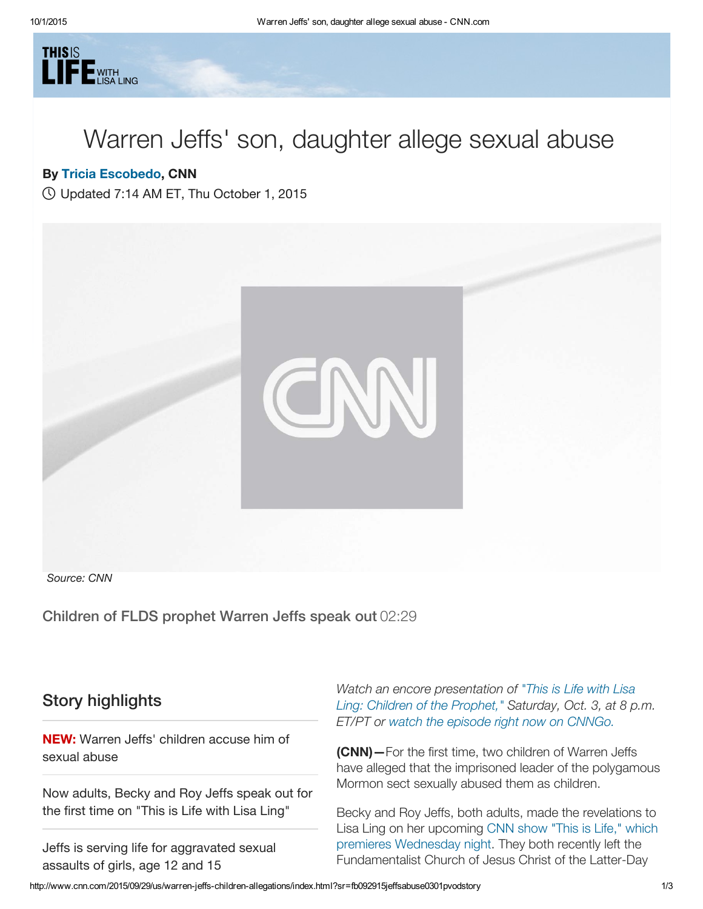

## Warren Jeffs' son, daughter allege sexual abuse

## By Tricia [Escobedo](http://www.cnn.com/profiles/tricia-escobedo-profile), CNN

Updated 7:14 AM ET, Thu October 1, 2015



Source: CNN

Children of FLDS prophet Warren Jeffs speak out 02:29

## Story highlights

NEW: Warren Jeffs' children accuse him of sexual abuse

Now adults, Becky and Roy Jeffs speak out for the first time on "This is Life with Lisa Ling"

Jeffs is serving life for aggravated sexual assaults of girls, age 12 and 15

Watch an encore [presentation](http://www.cnn.com/shows/this-is-life-with-lisa-ling) of "This is Life with Lisa Ling: Children of the Prophet," Saturday, Oct. 3, at 8 p.m. ET/PT or watch the episode right now on [CNNGo.](http://cnn.it/1FI8NP8)

(CNN)—For the first time, two children of Warren Jeffs have alleged that the imprisoned leader of the polygamous Mormon sect sexually abused them as children.

Becky and Roy Jeffs, both adults, made the revelations to Lisa Ling on her upcoming CNN show "This is Life," which premieres [Wednesday](http://www.cnn.com/shows/this-is-life-with-lisa-ling) night. They both recently left the Fundamentalist Church of Jesus Christ of the Latter-Day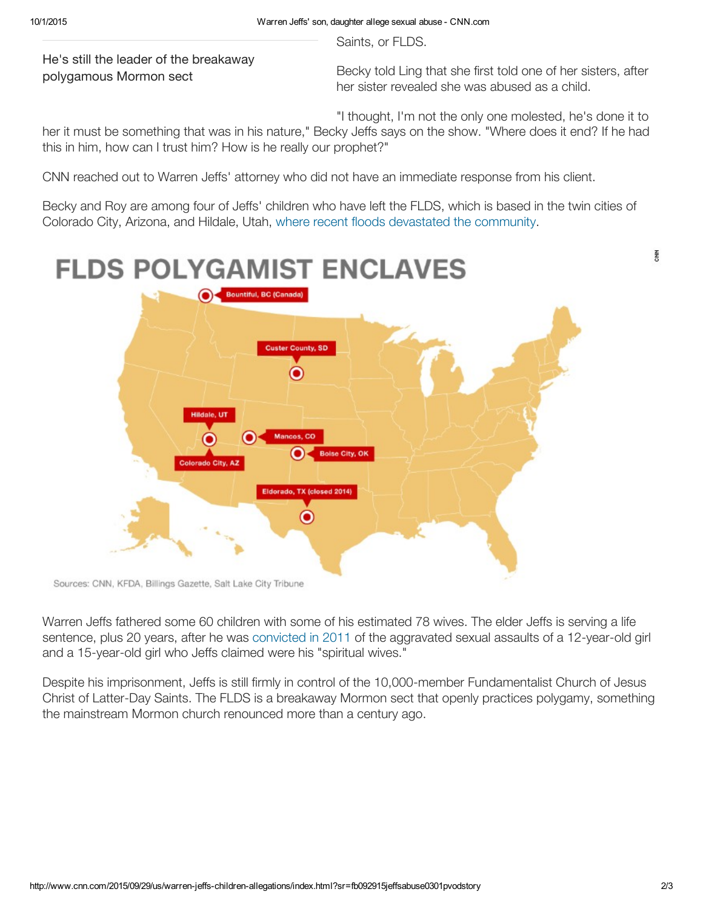Saints, or FLDS.

He's still the leader of the breakaway polygamous Mormon sect

Becky told Ling that she first told one of her sisters, after her sister revealed she was abused as a child.

"I thought, I'm not the only one molested, he's done it to

her it must be something that was in his nature," Becky Jeffs says on the show. "Where does it end? If he had this in him, how can I trust him? How is he really our prophet?"

CNN reached out to Warren Jeffs' attorney who did not have an immediate response from his client.

Becky and Roy are among four of Jeffs' children who have left the FLDS, which is based in the twin cities of Colorado City, Arizona, and Hildale, Utah, where recent floods devastated the [community.](http://www.cnn.com/2015/09/15/us/utah-arizona-flooding/index.html)



Sources: CNN, KFDA, Billings Gazette, Salt Lake City Tribune

Warren Jeffs fathered some 60 children with some of his estimated 78 wives. The elder Jeffs is serving a life sentence, plus 20 years, after he was [convicted](http://www.cnn.com/2011/CRIME/08/09/texas.polygamist.jeffs/index.html) in 2011 of the aggravated sexual assaults of a 12-year-old girl and a 15-year-old girl who Jeffs claimed were his "spiritual wives."

Despite his imprisonment, Jeffs is still firmly in control of the 10,000-member Fundamentalist Church of Jesus Christ of Latter-Day Saints. The FLDS is a breakaway Mormon sect that openly practices polygamy, something the mainstream Mormon church renounced more than a century ago.

좋